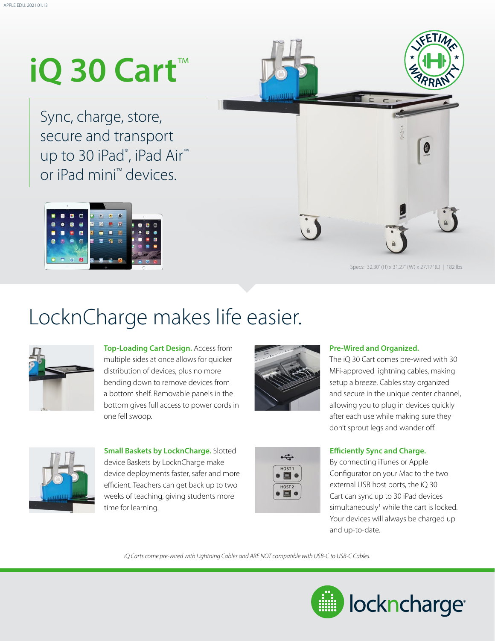# **iQ 30 Cart**™

Sync, charge, store, secure and transport up to 30 iPad®, iPad Air<sup>™</sup> or iPad mini™ devices.





Specs: 32.30" (H) x 31.27" (W) x 27.17" (L) | 182 lbs

### LocknCharge makes life easier.



**Top-Loading Cart Design.** Access from multiple sides at once allows for quicker distribution of devices, plus no more bending down to remove devices from a bottom shelf. Removable panels in the bottom gives full access to power cords in one fell swoop.



#### **Pre-Wired and Organized.**

The iQ 30 Cart comes pre-wired with 30 MFi-approved lightning cables, making setup a breeze. Cables stay organized and secure in the unique center channel, allowing you to plug in devices quickly after each use while making sure they don't sprout legs and wander off.



**Small Baskets by LocknCharge.** Slotted device Baskets by LocknCharge make device deployments faster, safer and more efficient. Teachers can get back up to two weeks of teaching, giving students more time for learning.



### **Efficiently Sync and Charge.**

By connecting iTunes or Apple Configurator on your Mac to the two external USB host ports, the iQ 30 Cart can sync up to 30 iPad devices simultaneously<sup>1</sup> while the cart is locked. Your devices will always be charged up and up-to-date.

*iQ Carts come pre-wired with Lightning Cables and ARE NOT compatible with USB-C to USB-C Cables.*